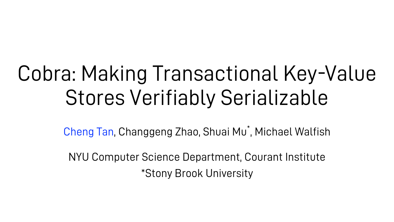# Cobra: Making Transactional Key-Value Stores Verifiably Serializable

Cheng Tan, Changgeng Zhao, Shuai Mu<sup>\*</sup>, Michael Walfish

NYU Computer Science Department, Courant Institute \*Stony Brook University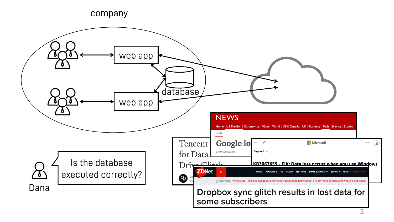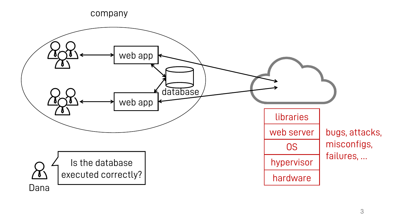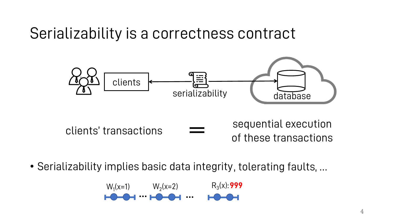### Serializability is a correctness contract



• Serializability implies basic data integrity, tolerating faults, ...

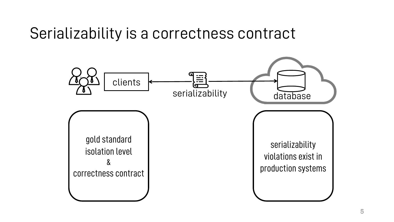### Serializability is a correctness contract

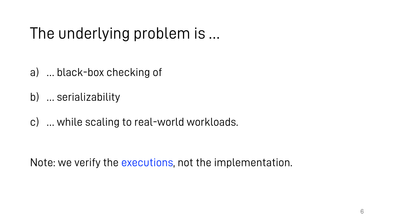# The underlying problem is …

- a) … black-box checking of
- b) … serializability
- c) … while scaling to real-world workloads.

Note: we verify the executions, not the implementation.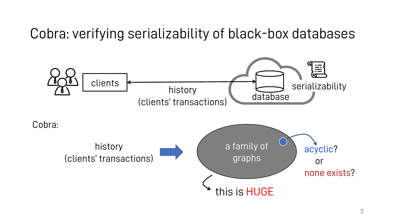Cobra: verifying serializability of black-box databases

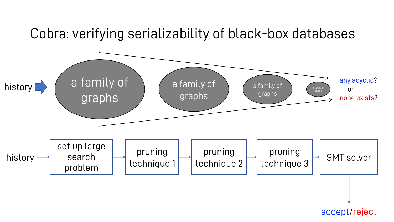#### Cobra: verifying serializability of black-box databases



accept/reject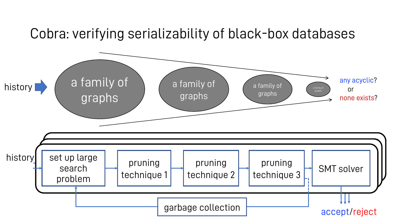#### Cobra: verifying serializability of black-box databases

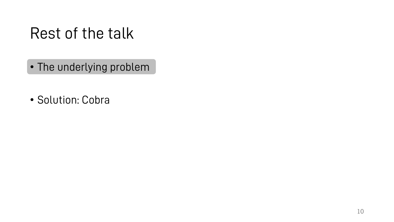# Rest of the talk

- The underlying problem
- Solution: Cobra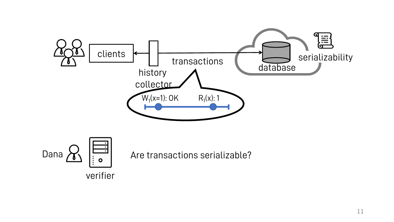

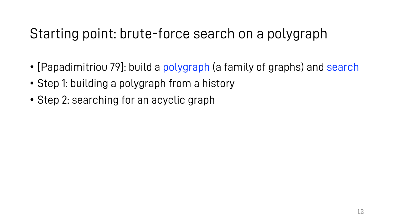#### Starting point: brute-force search on a polygraph

- [Papadimitriou 79]: build a polygraph (a family of graphs) and search
- Step 1: building a polygraph from a history
- Step 2: searching for an acyclic graph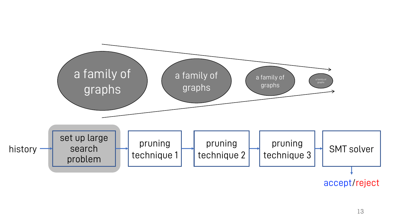

accept/reject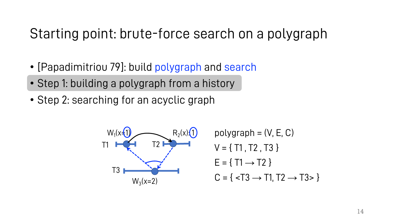#### Starting point: brute-force search on a polygraph

- [Papadimitriou 79]: build polygraph and search
- Step 1: building a polygraph from a history
- Step 2: searching for an acyclic graph



polygraph  $=(V, E, C)$  $V = \{ T1, T2, T3 \}$  $E = \{ T1 \rightarrow T2 \}$  $C = \{  \}$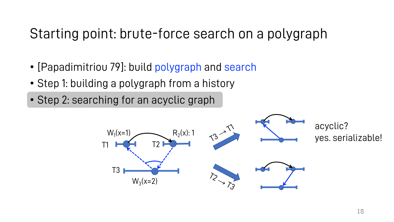#### Starting point: brute-force search on a polygraph

- [Papadimitriou 79]: build polygraph and search
- Step 1: building a polygraph from a history
- Step 2: searching for an acyclic graph

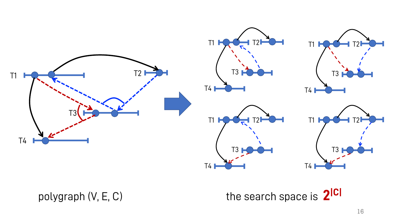

polygraph (V, E, C) the search space is **2|C|**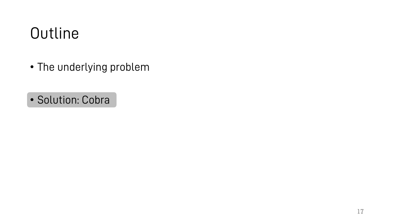# **Outline**

- The underlying problem
- Solution: Cobra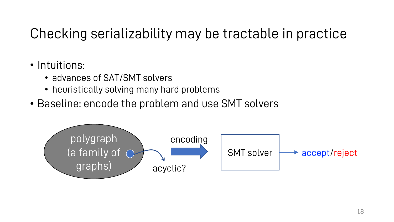#### Checking serializability may be tractable in practice

#### • Intuitions:

- advances of SAT/SMT solvers
- heuristically solving many hard problems
- Baseline: encode the problem and use SMT solvers

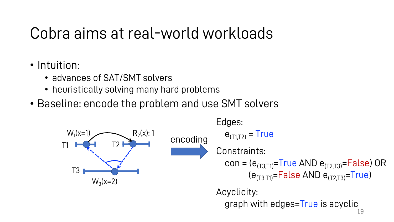# Cobra aims at real-world workloads

- Intuition:
	- advances of SAT/SMT solvers
	- heuristically solving many hard problems
- Baseline: encode the problem and use SMT solvers

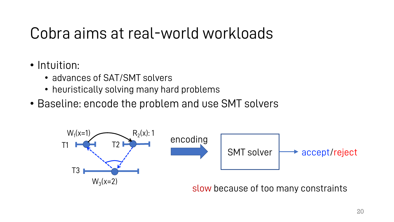# Cobra aims at real-world workloads

- Intuition:
	- advances of SAT/SMT solvers
	- heuristically solving many hard problems
- Baseline: encode the problem and use SMT solvers

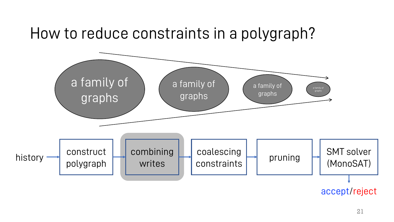#### How to reduce constraints in a polygraph?

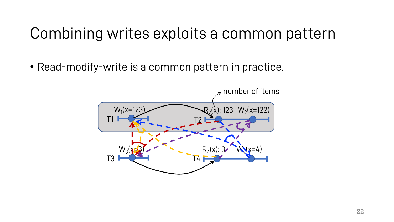# Combining writes exploits a common pattern

• Read-modify-write is a common pattern in practice.

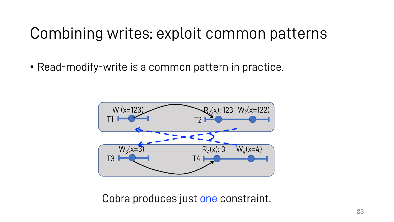# Combining writes: exploit common patterns

• Read-modify-write is a common pattern in practice.



Cobra produces just one constraint.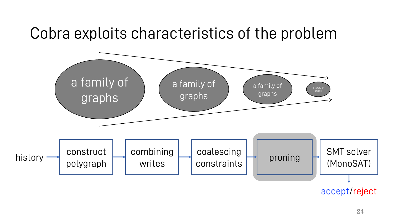### Cobra exploits characteristics of the problem



accept/reject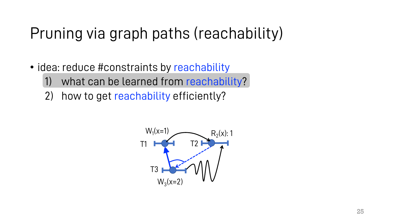# Pruning via graph paths (reachability)

- idea: reduce #constraints by reachability
	- what can be learned from reachability?
	- 2) how to get reachability efficiently?

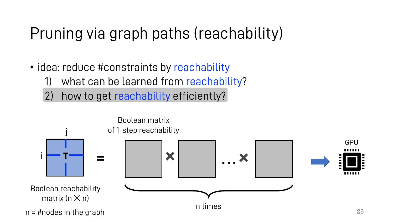# Pruning via graph paths (reachability)

- idea: reduce #constraints by reachability
	- what can be learned from reachability?
	- 2) how to get reachability efficiently?

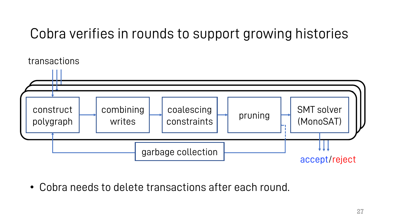#### Cobra verifies in rounds to support growing histories



• Cobra needs to delete transactions after each round.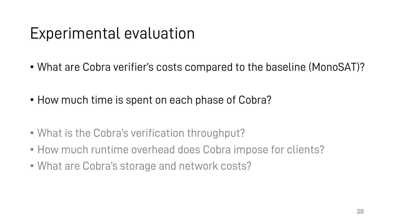# Experimental evaluation

- What are Cobra verifier's costs compared to the baseline (MonoSAT)?
- How much time is spent on each phase of Cobra?
- What is the Cobra's verification throughput?
- How much runtime overhead does Cobra impose for clients?
- What are Cobra's storage and network costs?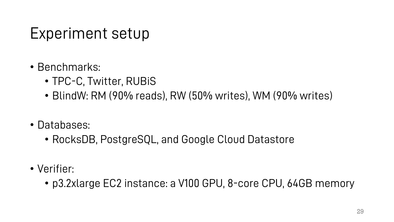# Experiment setup

- Benchmarks:
	- TPC-C, Twitter, RUBiS
	- BlindW: RM (90% reads), RW (50% writes), WM (90% writes)
- Databases:
	- RocksDB, PostgreSQL, and Google Cloud Datastore
- Verifier:
	- p3.2xlarge EC2 instance: a V100 GPU, 8-core CPU, 64GB memory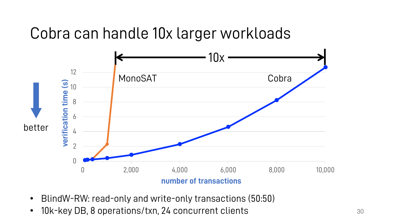### Cobra can handle 10x larger workloads



- BlindW-RW: read-only and write-only transactions (50:50)
- 10k-key DB, 8 operations/txn, 24 concurrent clients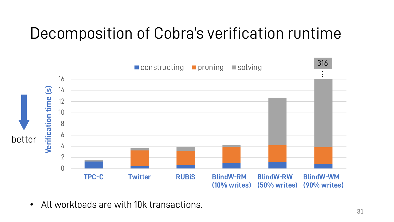# Decomposition of Cobra's verification runtime



• All workloads are with 10k transactions.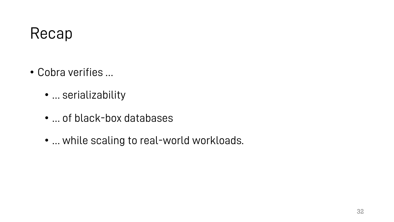# Recap

- Cobra verifies …
	- … serializability
	- … of black-box databases
	- … while scaling to real-world workloads.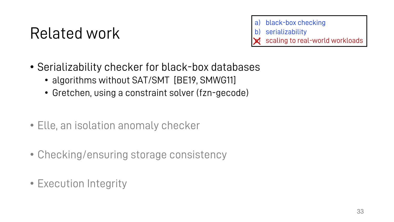- a) black-box checking
- b) serializability
- scaling to real-world workloads
- Serializability checker for black-box databases
	- algorithms without SAT/SMT [BE19, SMWG11]
	- Gretchen, using a constraint solver (fzn-gecode)
- Elle, an isolation anomaly checker
- Checking/ensuring storage consistency
- Execution Integrity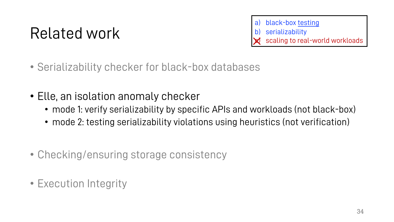a) black-box <u>testing</u> serializability scaling to real-world workloads

- Serializability checker for black-box databases
- Elle, an isolation anomaly checker
	- mode 1: verify serializability by specific APIs and workloads (not black-box)
	- mode 2: testing serializability violations using heuristics (not verification)
- Checking/ensuring storage consistency
- Execution Integrity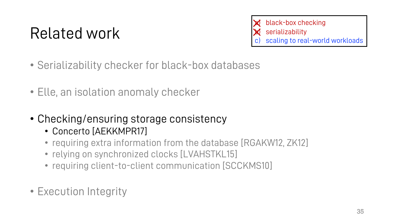black-box checking serializability scaling to real-world workloads ✕ ✕

- Serializability checker for black-box databases
- Elle, an isolation anomaly checker
- Checking/ensuring storage consistency
	- Concerto [AEKKMPR17]
	- requiring extra information from the database [RGAKW12, ZK12]
	- relying on synchronized clocks [LVAHSTKL15]
	- requiring client-to-client communication [SCCKMS10]
- Execution Integrity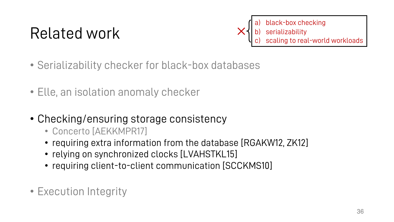a) black-box checking black-box b) serializability to real-world workloads a) b) ✕

- Serializability checker for black-box databases
- Elle, an isolation anomaly checker
- Checking/ensuring storage consistency
	- Concerto [AEKKMPR17]
	- requiring extra information from the database [RGAKW12, ZK12]
	- relying on synchronized clocks [LVAHSTKL15]
	- requiring client-to-client communication [SCCKMS10]
- Execution Integrity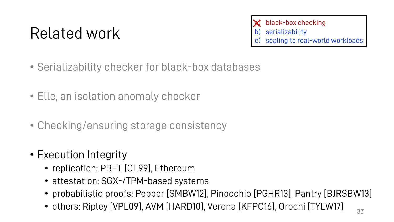black-box checking **serializability** scaling to real-world workloads ✕

- Serializability checker for black-box databases
- Elle, an isolation anomaly checker
- Checking/ensuring storage consistency
- Execution Integrity
	- replication: PBFT [CL99], Ethereum
	- attestation: SGX-/TPM-based systems
	- probabilistic proofs: Pepper [SMBW12], Pinocchio [PGHR13], Pantry [BJRSBW13]
	- others: Ripley [VPL09], AVM [HARD10], Verena [KFPC16], Orochi [TYLW17]